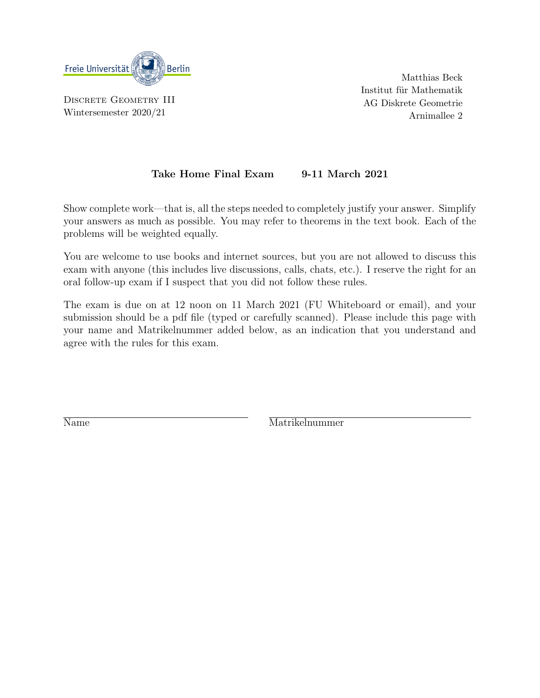

DISCRETE GEOMETRY III Wintersemester 2020/21

Matthias Beck Institut für Mathematik AG Diskrete Geometrie Arnimallee 2

## Take Home Final Exam 9-11 March 2021

Show complete work—that is, all the steps needed to completely justify your answer. Simplify your answers as much as possible. You may refer to theorems in the text book. Each of the problems will be weighted equally.

You are welcome to use books and internet sources, but you are not allowed to discuss this exam with anyone (this includes live discussions, calls, chats, etc.). I reserve the right for an oral follow-up exam if I suspect that you did not follow these rules.

The exam is due on at 12 noon on 11 March 2021 (FU Whiteboard or email), and your submission should be a pdf file (typed or carefully scanned). Please include this page with your name and Matrikelnummer added below, as an indication that you understand and agree with the rules for this exam.

Name Matrikelnummer